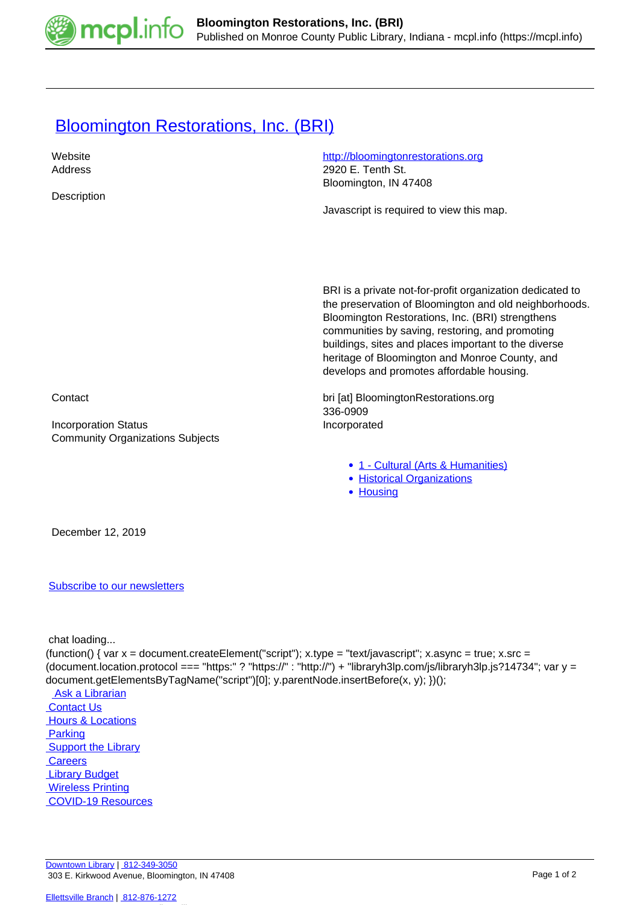

## **[Bloomington Restorations, Inc. \(BRI\)](https://mcpl.info/commorg/bloomington-restorations-inc-bri)**

| 2920 E. Tenth St.<br>Address<br>Bloomington, IN 47408<br>Description<br>Javascript is required to view this map.<br>BRI is a private not-for-profit organization dedicated to<br>the preservation of Bloomington and old neighborhoods.<br>Bloomington Restorations, Inc. (BRI) strengthens<br>communities by saving, restoring, and promoting<br>buildings, sites and places important to the diverse<br>heritage of Bloomington and Monroe County, and<br>develops and promotes affordable housing.<br>bri [at] BloomingtonRestorations.org<br>Contact<br>336-0909<br><b>Incorporation Status</b><br>Incorporated<br><b>Community Organizations Subjects</b><br>• 1 - Cultural (Arts & Humanities)<br>• Historical Organizations<br>• Housing<br>December 12, 2019 | Website | http://bloomingtonrestorations.org |
|----------------------------------------------------------------------------------------------------------------------------------------------------------------------------------------------------------------------------------------------------------------------------------------------------------------------------------------------------------------------------------------------------------------------------------------------------------------------------------------------------------------------------------------------------------------------------------------------------------------------------------------------------------------------------------------------------------------------------------------------------------------------|---------|------------------------------------|
|                                                                                                                                                                                                                                                                                                                                                                                                                                                                                                                                                                                                                                                                                                                                                                      |         |                                    |
|                                                                                                                                                                                                                                                                                                                                                                                                                                                                                                                                                                                                                                                                                                                                                                      |         |                                    |
|                                                                                                                                                                                                                                                                                                                                                                                                                                                                                                                                                                                                                                                                                                                                                                      |         |                                    |
|                                                                                                                                                                                                                                                                                                                                                                                                                                                                                                                                                                                                                                                                                                                                                                      |         |                                    |
|                                                                                                                                                                                                                                                                                                                                                                                                                                                                                                                                                                                                                                                                                                                                                                      |         |                                    |
|                                                                                                                                                                                                                                                                                                                                                                                                                                                                                                                                                                                                                                                                                                                                                                      |         |                                    |
|                                                                                                                                                                                                                                                                                                                                                                                                                                                                                                                                                                                                                                                                                                                                                                      |         |                                    |
|                                                                                                                                                                                                                                                                                                                                                                                                                                                                                                                                                                                                                                                                                                                                                                      |         |                                    |
|                                                                                                                                                                                                                                                                                                                                                                                                                                                                                                                                                                                                                                                                                                                                                                      |         |                                    |
|                                                                                                                                                                                                                                                                                                                                                                                                                                                                                                                                                                                                                                                                                                                                                                      |         |                                    |
|                                                                                                                                                                                                                                                                                                                                                                                                                                                                                                                                                                                                                                                                                                                                                                      |         |                                    |
|                                                                                                                                                                                                                                                                                                                                                                                                                                                                                                                                                                                                                                                                                                                                                                      |         |                                    |
|                                                                                                                                                                                                                                                                                                                                                                                                                                                                                                                                                                                                                                                                                                                                                                      |         |                                    |
|                                                                                                                                                                                                                                                                                                                                                                                                                                                                                                                                                                                                                                                                                                                                                                      |         |                                    |
|                                                                                                                                                                                                                                                                                                                                                                                                                                                                                                                                                                                                                                                                                                                                                                      |         |                                    |
|                                                                                                                                                                                                                                                                                                                                                                                                                                                                                                                                                                                                                                                                                                                                                                      |         |                                    |
|                                                                                                                                                                                                                                                                                                                                                                                                                                                                                                                                                                                                                                                                                                                                                                      |         |                                    |
|                                                                                                                                                                                                                                                                                                                                                                                                                                                                                                                                                                                                                                                                                                                                                                      |         |                                    |
|                                                                                                                                                                                                                                                                                                                                                                                                                                                                                                                                                                                                                                                                                                                                                                      |         |                                    |
|                                                                                                                                                                                                                                                                                                                                                                                                                                                                                                                                                                                                                                                                                                                                                                      |         |                                    |
|                                                                                                                                                                                                                                                                                                                                                                                                                                                                                                                                                                                                                                                                                                                                                                      |         |                                    |
|                                                                                                                                                                                                                                                                                                                                                                                                                                                                                                                                                                                                                                                                                                                                                                      |         |                                    |
|                                                                                                                                                                                                                                                                                                                                                                                                                                                                                                                                                                                                                                                                                                                                                                      |         |                                    |
|                                                                                                                                                                                                                                                                                                                                                                                                                                                                                                                                                                                                                                                                                                                                                                      |         |                                    |
|                                                                                                                                                                                                                                                                                                                                                                                                                                                                                                                                                                                                                                                                                                                                                                      |         |                                    |
|                                                                                                                                                                                                                                                                                                                                                                                                                                                                                                                                                                                                                                                                                                                                                                      |         |                                    |
|                                                                                                                                                                                                                                                                                                                                                                                                                                                                                                                                                                                                                                                                                                                                                                      |         |                                    |

[Subscribe to our newsletters](https://mcpl.info/geninfo/subscribe-think-library-newsletter)

chat loading...

(function() { var  $x =$  document.createElement("script");  $x.\text{type} =$  "text/javascript";  $x.\text{async} =$  true;  $x.\text{src} =$ (document.location.protocol === "https:" ? "https://" : "http://") + "libraryh3lp.com/js/libraryh3lp.js?14734"; var y = document.getElementsByTagName("script")[0]; y.parentNode.insertBefore(x, y); })();  [Ask a Librarian](https://mcpl.info/askus) **Contact Us Hours & Locations Parking**  [Support the Library](https://mcpl.info/geninfo/support-library?utm_source=footer&utm_medium=links&utm_campaign=support%20) **Careers**  [Library Budget](https://budgetnotices.in.gov/unit_lookup.aspx?ct=53000) **Wireless Printing**  [COVID-19 Resources](https://mcpl.info/geninfo/local-covid-resources)